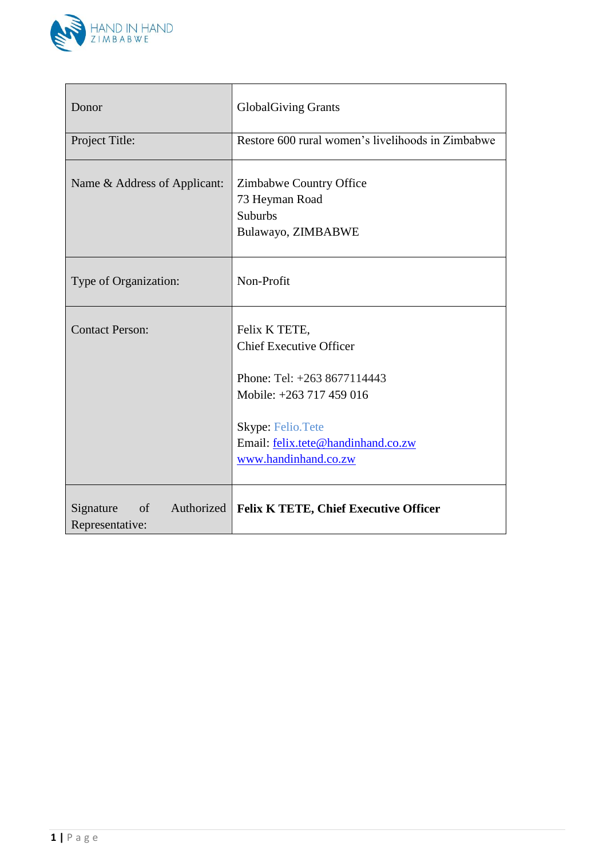

| Donor                                      | <b>GlobalGiving Grants</b>                                                                                                                                                                             |  |  |  |
|--------------------------------------------|--------------------------------------------------------------------------------------------------------------------------------------------------------------------------------------------------------|--|--|--|
| Project Title:                             | Restore 600 rural women's livelihoods in Zimbabwe                                                                                                                                                      |  |  |  |
| Name & Address of Applicant:               | Zimbabwe Country Office<br>73 Heyman Road<br><b>Suburbs</b><br>Bulawayo, ZIMBABWE                                                                                                                      |  |  |  |
| Type of Organization:                      | Non-Profit                                                                                                                                                                                             |  |  |  |
| <b>Contact Person:</b>                     | Felix K TETE,<br><b>Chief Executive Officer</b><br>Phone: Tel: $+2638677114443$<br>Mobile: +263 717 459 016<br><b>Skype: Felio. Tete</b><br>Email: felix.tete@handinhand.co.zw<br>www.handinhand.co.zw |  |  |  |
| Signature<br>$\circ$ of<br>Representative: | Authorized   Felix K TETE, Chief Executive Officer                                                                                                                                                     |  |  |  |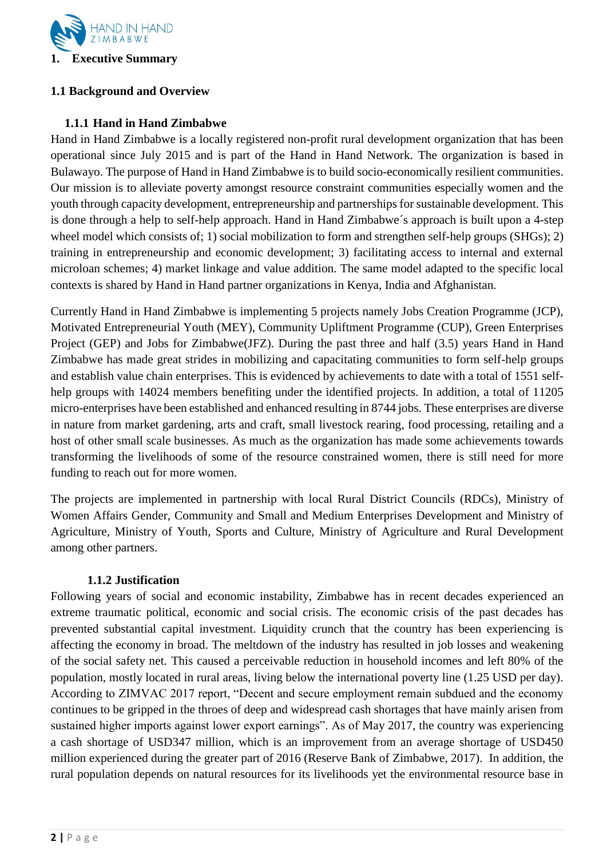

# **1.1 Background and Overview**

# **1.1.1 Hand in Hand Zimbabwe**

Hand in Hand Zimbabwe is a locally registered non-profit rural development organization that has been operational since July 2015 and is part of the Hand in Hand Network. The organization is based in Bulawayo. The purpose of Hand in Hand Zimbabwe is to build socio-economically resilient communities. Our mission is to alleviate poverty amongst resource constraint communities especially women and the youth through capacity development, entrepreneurship and partnerships for sustainable development. This is done through a help to self-help approach. Hand in Hand Zimbabwe´s approach is built upon a 4-step wheel model which consists of; 1) social mobilization to form and strengthen self-help groups (SHGs); 2) training in entrepreneurship and economic development; 3) facilitating access to internal and external microloan schemes; 4) market linkage and value addition. The same model adapted to the specific local contexts is shared by Hand in Hand partner organizations in Kenya, India and Afghanistan.

Currently Hand in Hand Zimbabwe is implementing 5 projects namely Jobs Creation Programme (JCP), Motivated Entrepreneurial Youth (MEY), Community Upliftment Programme (CUP), Green Enterprises Project (GEP) and Jobs for Zimbabwe(JFZ). During the past three and half (3.5) years Hand in Hand Zimbabwe has made great strides in mobilizing and capacitating communities to form self-help groups and establish value chain enterprises. This is evidenced by achievements to date with a total of 1551 selfhelp groups with 14024 members benefiting under the identified projects. In addition, a total of 11205 micro-enterprises have been established and enhanced resulting in 8744 jobs. These enterprises are diverse in nature from market gardening, arts and craft, small livestock rearing, food processing, retailing and a host of other small scale businesses. As much as the organization has made some achievements towards transforming the livelihoods of some of the resource constrained women, there is still need for more funding to reach out for more women.

The projects are implemented in partnership with local Rural District Councils (RDCs), Ministry of Women Affairs Gender, Community and Small and Medium Enterprises Development and Ministry of Agriculture, Ministry of Youth, Sports and Culture, Ministry of Agriculture and Rural Development among other partners.

# **1.1.2 Justification**

Following years of social and economic instability, Zimbabwe has in recent decades experienced an extreme traumatic political, economic and social crisis. The economic crisis of the past decades has prevented substantial capital investment. Liquidity crunch that the country has been experiencing is affecting the economy in broad. The meltdown of the industry has resulted in job losses and weakening of the social safety net. This caused a perceivable reduction in household incomes and left 80% of the population, mostly located in rural areas, living below the international poverty line (1.25 USD per day). According to ZIMVAC 2017 report, "Decent and secure employment remain subdued and the economy continues to be gripped in the throes of deep and widespread cash shortages that have mainly arisen from sustained higher imports against lower export earnings". As of May 2017, the country was experiencing a cash shortage of USD347 million, which is an improvement from an average shortage of USD450 million experienced during the greater part of 2016 (Reserve Bank of Zimbabwe, 2017). In addition, the rural population depends on natural resources for its livelihoods yet the environmental resource base in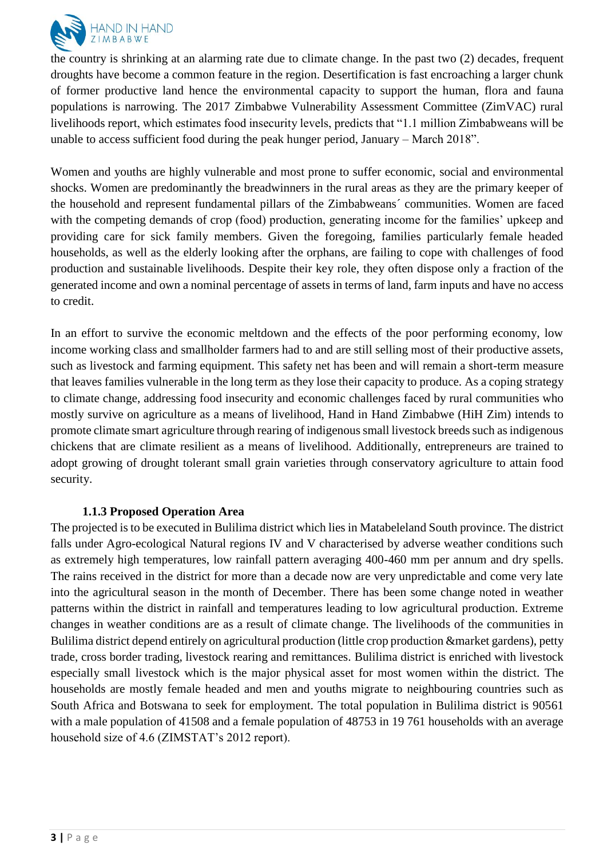

the country is shrinking at an alarming rate due to climate change. In the past two (2) decades, frequent droughts have become a common feature in the region. Desertification is fast encroaching a larger chunk of former productive land hence the environmental capacity to support the human, flora and fauna populations is narrowing. The 2017 Zimbabwe Vulnerability Assessment Committee (ZimVAC) rural livelihoods report, which estimates food insecurity levels, predicts that "1.1 million Zimbabweans will be unable to access sufficient food during the peak hunger period, January – March 2018".

Women and youths are highly vulnerable and most prone to suffer economic, social and environmental shocks. Women are predominantly the breadwinners in the rural areas as they are the primary keeper of the household and represent fundamental pillars of the Zimbabweans´ communities. Women are faced with the competing demands of crop (food) production, generating income for the families' upkeep and providing care for sick family members. Given the foregoing, families particularly female headed households, as well as the elderly looking after the orphans, are failing to cope with challenges of food production and sustainable livelihoods. Despite their key role, they often dispose only a fraction of the generated income and own a nominal percentage of assets in terms of land, farm inputs and have no access to credit.

In an effort to survive the economic meltdown and the effects of the poor performing economy, low income working class and smallholder farmers had to and are still selling most of their productive assets, such as livestock and farming equipment. This safety net has been and will remain a short-term measure that leaves families vulnerable in the long term as they lose their capacity to produce. As a coping strategy to climate change, addressing food insecurity and economic challenges faced by rural communities who mostly survive on agriculture as a means of livelihood, Hand in Hand Zimbabwe (HiH Zim) intends to promote climate smart agriculture through rearing of indigenous small livestock breeds such as indigenous chickens that are climate resilient as a means of livelihood. Additionally, entrepreneurs are trained to adopt growing of drought tolerant small grain varieties through conservatory agriculture to attain food security.

# **1.1.3 Proposed Operation Area**

The projected is to be executed in Bulilima district which lies in Matabeleland South province. The district falls under Agro-ecological Natural regions IV and V characterised by adverse weather conditions such as extremely high temperatures, low rainfall pattern averaging 400-460 mm per annum and dry spells. The rains received in the district for more than a decade now are very unpredictable and come very late into the agricultural season in the month of December. There has been some change noted in weather patterns within the district in rainfall and temperatures leading to low agricultural production. Extreme changes in weather conditions are as a result of climate change. The livelihoods of the communities in Bulilima district depend entirely on agricultural production (little crop production &market gardens), petty trade, cross border trading, livestock rearing and remittances. Bulilima district is enriched with livestock especially small livestock which is the major physical asset for most women within the district. The households are mostly female headed and men and youths migrate to neighbouring countries such as South Africa and Botswana to seek for employment. The total population in Bulilima district is 90561 with a male population of 41508 and a female population of 48753 in 19 761 households with an average household size of 4.6 (ZIMSTAT's 2012 report).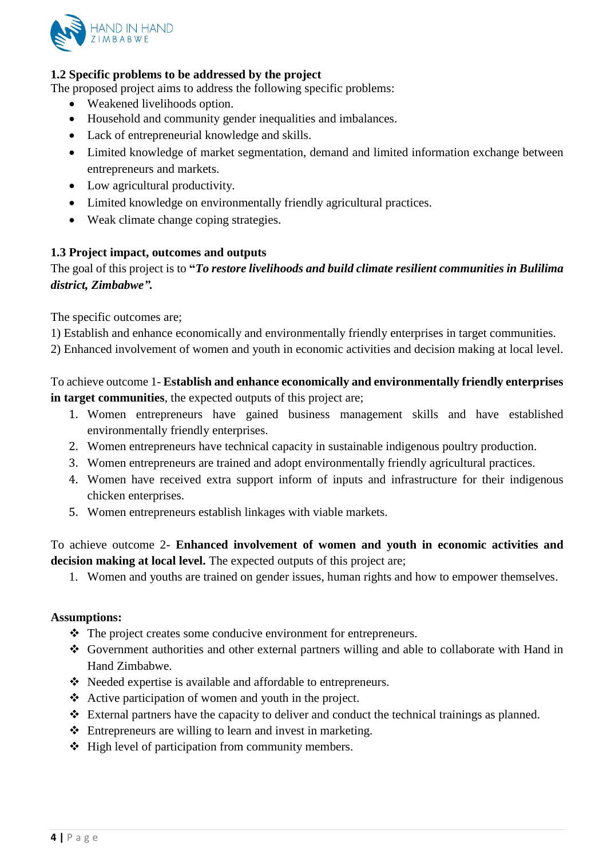

# **1.2 Specific problems to be addressed by the project**

The proposed project aims to address the following specific problems:

- Weakened livelihoods option.
- Household and community gender inequalities and imbalances.
- Lack of entrepreneurial knowledge and skills.
- Limited knowledge of market segmentation, demand and limited information exchange between entrepreneurs and markets.
- Low agricultural productivity.
- Limited knowledge on environmentally friendly agricultural practices.
- Weak climate change coping strategies.

# **1.3 Project impact, outcomes and outputs**

The goal of this project is to **"***To restore livelihoods and build climate resilient communities in Bulilima district, Zimbabwe".* 

The specific outcomes are;

- 1) Establish and enhance economically and environmentally friendly enterprises in target communities.
- 2) Enhanced involvement of women and youth in economic activities and decision making at local level.

To achieve outcome 1- **Establish and enhance economically and environmentally friendly enterprises in target communities**, the expected outputs of this project are;

- 1. Women entrepreneurs have gained business management skills and have established environmentally friendly enterprises.
- 2. Women entrepreneurs have technical capacity in sustainable indigenous poultry production.
- 3. Women entrepreneurs are trained and adopt environmentally friendly agricultural practices.
- 4. Women have received extra support inform of inputs and infrastructure for their indigenous chicken enterprises.
- 5. Women entrepreneurs establish linkages with viable markets.

# To achieve outcome 2- **Enhanced involvement of women and youth in economic activities and decision making at local level.** The expected outputs of this project are;

1. Women and youths are trained on gender issues, human rights and how to empower themselves.

#### **Assumptions:**

- The project creates some conducive environment for entrepreneurs.
- Government authorities and other external partners willing and able to collaborate with Hand in Hand Zimbabwe.
- Needed expertise is available and affordable to entrepreneurs.
- Active participation of women and youth in the project.
- $\triangle$  External partners have the capacity to deliver and conduct the technical trainings as planned.
- Entrepreneurs are willing to learn and invest in marketing.
- $\triangleleft$  High level of participation from community members.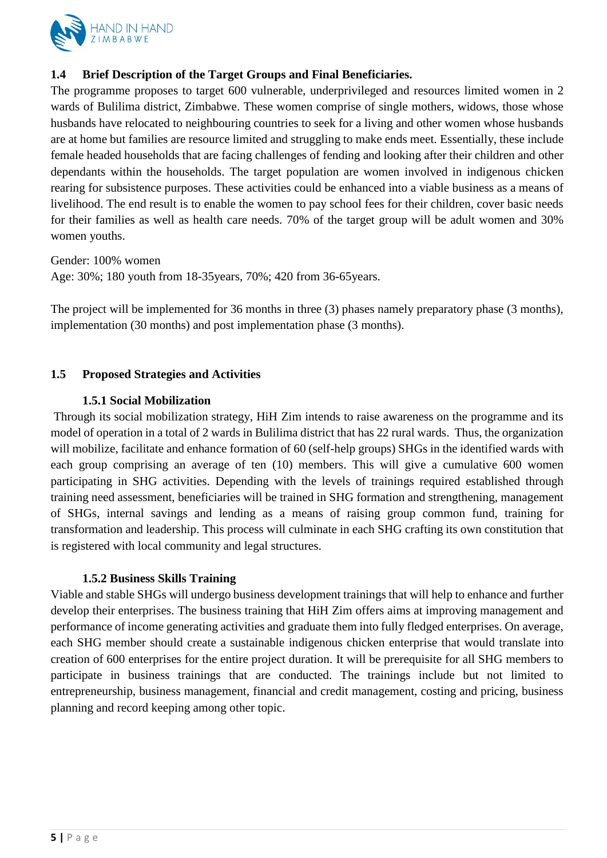

# **1.4 Brief Description of the Target Groups and Final Beneficiaries.**

The programme proposes to target 600 vulnerable, underprivileged and resources limited women in 2 wards of Bulilima district, Zimbabwe. These women comprise of single mothers, widows, those whose husbands have relocated to neighbouring countries to seek for a living and other women whose husbands are at home but families are resource limited and struggling to make ends meet. Essentially, these include female headed households that are facing challenges of fending and looking after their children and other dependants within the households. The target population are women involved in indigenous chicken rearing for subsistence purposes. These activities could be enhanced into a viable business as a means of livelihood. The end result is to enable the women to pay school fees for their children, cover basic needs for their families as well as health care needs. 70% of the target group will be adult women and 30% women youths.

Gender: 100% women Age: 30%; 180 youth from 18-35years, 70%; 420 from 36-65years.

The project will be implemented for 36 months in three (3) phases namely preparatory phase (3 months), implementation (30 months) and post implementation phase (3 months).

# **1.5 Proposed Strategies and Activities**

# **1.5.1 Social Mobilization**

Through its social mobilization strategy, HiH Zim intends to raise awareness on the programme and its model of operation in a total of 2 wards in Bulilima district that has 22 rural wards. Thus, the organization will mobilize, facilitate and enhance formation of 60 (self-help groups) SHGs in the identified wards with each group comprising an average of ten (10) members. This will give a cumulative 600 women participating in SHG activities. Depending with the levels of trainings required established through training need assessment, beneficiaries will be trained in SHG formation and strengthening, management of SHGs, internal savings and lending as a means of raising group common fund, training for transformation and leadership. This process will culminate in each SHG crafting its own constitution that is registered with local community and legal structures.

# **1.5.2 Business Skills Training**

Viable and stable SHGs will undergo business development trainings that will help to enhance and further develop their enterprises. The business training that HiH Zim offers aims at improving management and performance of income generating activities and graduate them into fully fledged enterprises. On average, each SHG member should create a sustainable indigenous chicken enterprise that would translate into creation of 600 enterprises for the entire project duration. It will be prerequisite for all SHG members to participate in business trainings that are conducted. The trainings include but not limited to entrepreneurship, business management, financial and credit management, costing and pricing, business planning and record keeping among other topic.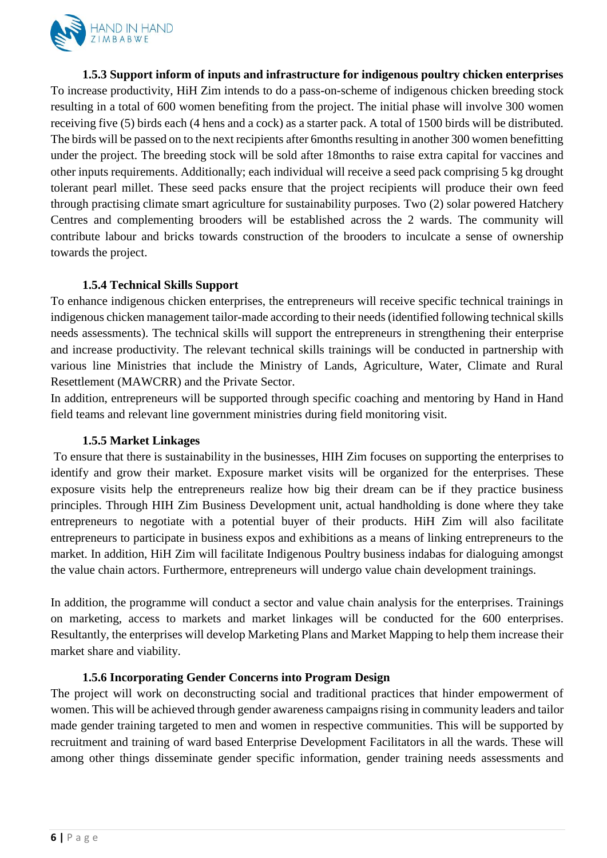

**1.5.3 Support inform of inputs and infrastructure for indigenous poultry chicken enterprises**  To increase productivity, HiH Zim intends to do a pass-on-scheme of indigenous chicken breeding stock resulting in a total of 600 women benefiting from the project. The initial phase will involve 300 women receiving five (5) birds each (4 hens and a cock) as a starter pack. A total of 1500 birds will be distributed. The birds will be passed on to the next recipients after 6months resulting in another 300 women benefitting under the project. The breeding stock will be sold after 18months to raise extra capital for vaccines and other inputs requirements. Additionally; each individual will receive a seed pack comprising 5 kg drought tolerant pearl millet. These seed packs ensure that the project recipients will produce their own feed through practising climate smart agriculture for sustainability purposes. Two (2) solar powered Hatchery Centres and complementing brooders will be established across the 2 wards. The community will contribute labour and bricks towards construction of the brooders to inculcate a sense of ownership towards the project.

# **1.5.4 Technical Skills Support**

To enhance indigenous chicken enterprises, the entrepreneurs will receive specific technical trainings in indigenous chicken management tailor-made according to their needs (identified following technical skills needs assessments). The technical skills will support the entrepreneurs in strengthening their enterprise and increase productivity. The relevant technical skills trainings will be conducted in partnership with various line Ministries that include the Ministry of Lands, Agriculture, Water, Climate and Rural Resettlement (MAWCRR) and the Private Sector.

In addition, entrepreneurs will be supported through specific coaching and mentoring by Hand in Hand field teams and relevant line government ministries during field monitoring visit.

# **1.5.5 Market Linkages**

To ensure that there is sustainability in the businesses, HIH Zim focuses on supporting the enterprises to identify and grow their market. Exposure market visits will be organized for the enterprises. These exposure visits help the entrepreneurs realize how big their dream can be if they practice business principles. Through HIH Zim Business Development unit, actual handholding is done where they take entrepreneurs to negotiate with a potential buyer of their products. HiH Zim will also facilitate entrepreneurs to participate in business expos and exhibitions as a means of linking entrepreneurs to the market. In addition, HiH Zim will facilitate Indigenous Poultry business indabas for dialoguing amongst the value chain actors. Furthermore, entrepreneurs will undergo value chain development trainings.

In addition, the programme will conduct a sector and value chain analysis for the enterprises. Trainings on marketing, access to markets and market linkages will be conducted for the 600 enterprises. Resultantly, the enterprises will develop Marketing Plans and Market Mapping to help them increase their market share and viability.

# **1.5.6 Incorporating Gender Concerns into Program Design**

The project will work on deconstructing social and traditional practices that hinder empowerment of women. This will be achieved through gender awareness campaigns rising in community leaders and tailor made gender training targeted to men and women in respective communities. This will be supported by recruitment and training of ward based Enterprise Development Facilitators in all the wards. These will among other things disseminate gender specific information, gender training needs assessments and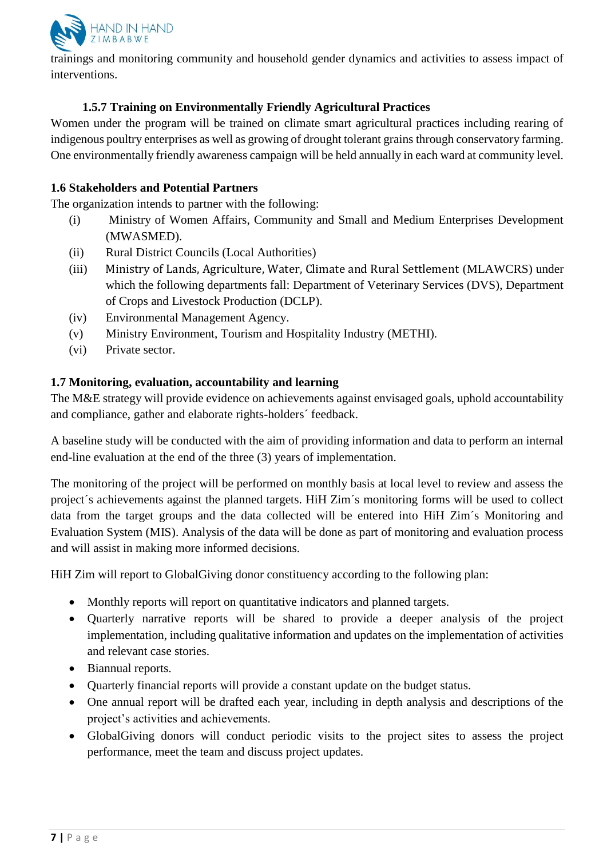

trainings and monitoring community and household gender dynamics and activities to assess impact of interventions.

# **1.5.7 Training on Environmentally Friendly Agricultural Practices**

Women under the program will be trained on climate smart agricultural practices including rearing of indigenous poultry enterprises as well as growing of drought tolerant grains through conservatory farming. One environmentally friendly awareness campaign will be held annually in each ward at community level.

#### **1.6 Stakeholders and Potential Partners**

The organization intends to partner with the following:

- (i) Ministry of Women Affairs, Community and Small and Medium Enterprises Development (MWASMED).
- (ii) Rural District Councils (Local Authorities)
- (iii) Ministry of Lands, Agriculture, Water, Climate and Rural Settlement (MLAWCRS) under which the following departments fall: Department of Veterinary Services (DVS), Department of Crops and Livestock Production (DCLP).
- (iv) Environmental Management Agency.
- (v) Ministry Environment, Tourism and Hospitality Industry (METHI).
- (vi) Private sector.

#### **1.7 Monitoring, evaluation, accountability and learning**

The M&E strategy will provide evidence on achievements against envisaged goals, uphold accountability and compliance, gather and elaborate rights-holders´ feedback.

A baseline study will be conducted with the aim of providing information and data to perform an internal end-line evaluation at the end of the three (3) years of implementation.

The monitoring of the project will be performed on monthly basis at local level to review and assess the project´s achievements against the planned targets. HiH Zim´s monitoring forms will be used to collect data from the target groups and the data collected will be entered into HiH Zim´s Monitoring and Evaluation System (MIS). Analysis of the data will be done as part of monitoring and evaluation process and will assist in making more informed decisions.

HiH Zim will report to GlobalGiving donor constituency according to the following plan:

- Monthly reports will report on quantitative indicators and planned targets.
- Quarterly narrative reports will be shared to provide a deeper analysis of the project implementation, including qualitative information and updates on the implementation of activities and relevant case stories.
- Biannual reports.
- Quarterly financial reports will provide a constant update on the budget status.
- One annual report will be drafted each year, including in depth analysis and descriptions of the project's activities and achievements.
- GlobalGiving donors will conduct periodic visits to the project sites to assess the project performance, meet the team and discuss project updates.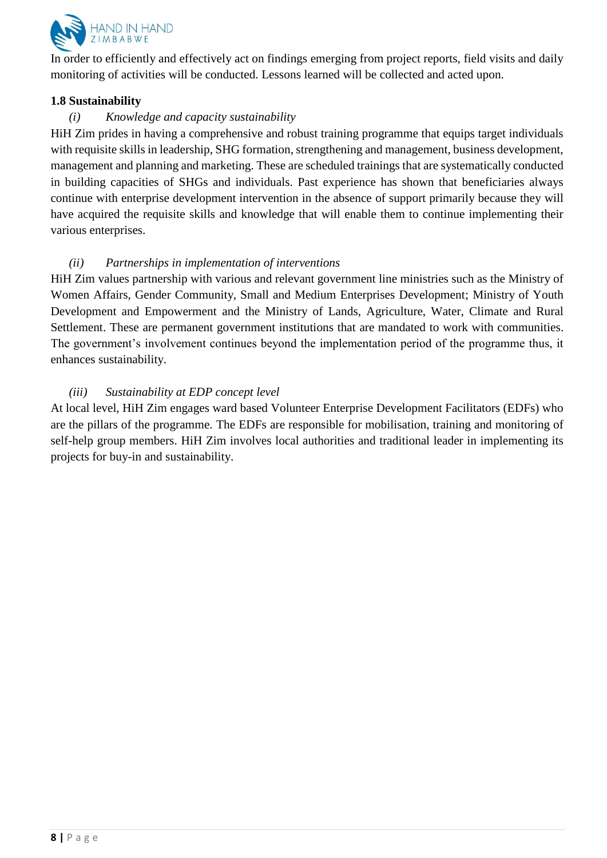

In order to efficiently and effectively act on findings emerging from project reports, field visits and daily monitoring of activities will be conducted. Lessons learned will be collected and acted upon.

#### **1.8 Sustainability**

# *(i) Knowledge and capacity sustainability*

HiH Zim prides in having a comprehensive and robust training programme that equips target individuals with requisite skills in leadership, SHG formation, strengthening and management, business development, management and planning and marketing. These are scheduled trainings that are systematically conducted in building capacities of SHGs and individuals. Past experience has shown that beneficiaries always continue with enterprise development intervention in the absence of support primarily because they will have acquired the requisite skills and knowledge that will enable them to continue implementing their various enterprises.

# *(ii) Partnerships in implementation of interventions*

HiH Zim values partnership with various and relevant government line ministries such as the Ministry of Women Affairs, Gender Community, Small and Medium Enterprises Development; Ministry of Youth Development and Empowerment and the Ministry of Lands, Agriculture, Water, Climate and Rural Settlement. These are permanent government institutions that are mandated to work with communities. The government's involvement continues beyond the implementation period of the programme thus, it enhances sustainability.

# *(iii) Sustainability at EDP concept level*

At local level, HiH Zim engages ward based Volunteer Enterprise Development Facilitators (EDFs) who are the pillars of the programme. The EDFs are responsible for mobilisation, training and monitoring of self-help group members. HiH Zim involves local authorities and traditional leader in implementing its projects for buy-in and sustainability.